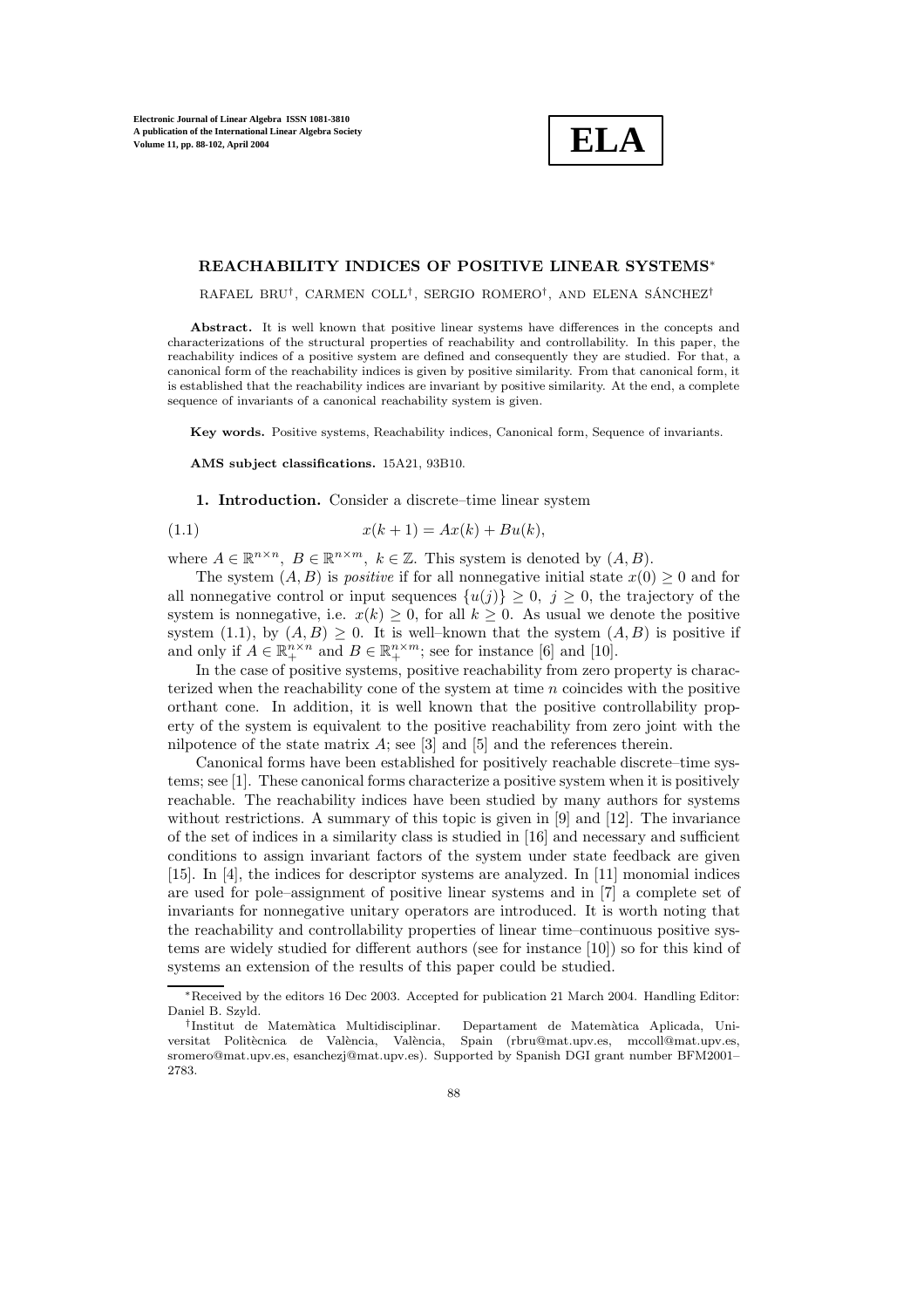**ELA**

## **REACHABILITY INDICES OF POSITIVE LINEAR SYSTEMS**∗

RAFAEL BRU<sup>†</sup>, CARMEN COLL<sup>†</sup>, SERGIO ROMERO<sup>†</sup>, AND ELENA SÁNCHEZ<sup>†</sup>

Abstract. It is well known that positive linear systems have differences in the concepts and characterizations of the structural properties of reachability and controllability. In this paper, the reachability indices of a positive system are defined and consequently they are studied. For that, a canonical form of the reachability indices is given by positive similarity. From that canonical form, it is established that the reachability indices are invariant by positive similarity. At the end, a complete sequence of invariants of a canonical reachability system is given.

**Key words.** Positive systems, Reachability indices, Canonical form, Sequence of invariants.

**AMS subject classifications.** 15A21, 93B10.

**1. Introduction.** Consider a discrete–time linear system

(1.1) 
$$
x(k+1) = Ax(k) + Bu(k),
$$

where  $A \in \mathbb{R}^{n \times n}$ ,  $B \in \mathbb{R}^{n \times m}$ ,  $k \in \mathbb{Z}$ . This system is denoted by  $(A, B)$ .

The system  $(A, B)$  is *positive* if for all nonnegative initial state  $x(0) \geq 0$  and for all nonnegative control or input sequences  $\{u(j)\}\geq 0, j\geq 0$ , the trajectory of the system is nonnegative, i.e.  $x(k) \geq 0$ , for all  $k \geq 0$ . As usual we denote the positive system (1.1), by  $(A, B) \geq 0$ . It is well–known that the system  $(A, B)$  is positive if and only if  $A \in \mathbb{R}_+^{n \times n}$  and  $B \in \mathbb{R}_+^{n \times m}$ ; see for instance [6] and [10].

In the case of positive systems, positive reachability from zero property is characterized when the reachability cone of the system at time n coincides with the positive orthant cone. In addition, it is well known that the positive controllability property of the system is equivalent to the positive reachability from zero joint with the nilpotence of the state matrix  $A$ ; see [3] and [5] and the references therein.

Canonical forms have been established for positively reachable discrete–time systems; see [1]. These canonical forms characterize a positive system when it is positively reachable. The reachability indices have been studied by many authors for systems without restrictions. A summary of this topic is given in [9] and [12]. The invariance of the set of indices in a similarity class is studied in [16] and necessary and sufficient conditions to assign invariant factors of the system under state feedback are given [15]. In [4], the indices for descriptor systems are analyzed. In [11] monomial indices are used for pole–assignment of positive linear systems and in [7] a complete set of invariants for nonnegative unitary operators are introduced. It is worth noting that the reachability and controllability properties of linear time–continuous positive systems are widely studied for different authors (see for instance [10]) so for this kind of systems an extension of the results of this paper could be studied.

<sup>∗</sup>Received by the editors 16 Dec 2003. Accepted for publication 21 March 2004. Handling Editor: Daniel B. Szyld.

<sup>†</sup>Institut de Matem`atica Multidisciplinar. Departament de Matem`atica Aplicada, Universitat Politècnica de València, València, Spain (rbru@mat.upv.es, mccoll@mat.upv.es, sromero@mat.upv.es, esanchezj@mat.upv.es). Supported by Spanish DGI grant number BFM2001– 2783.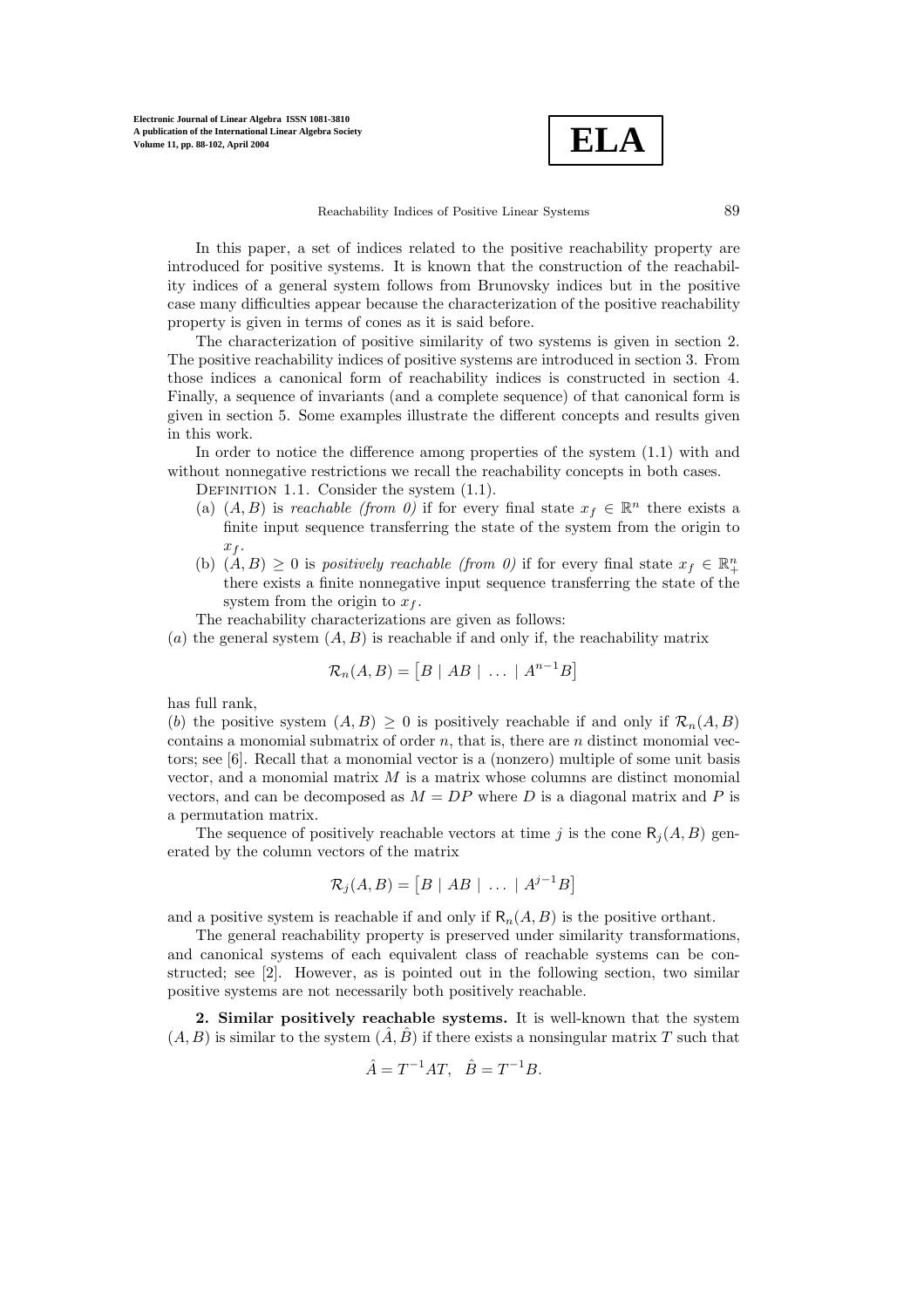

Reachability Indices of Positive Linear Systems 89

In this paper, a set of indices related to the positive reachability property are introduced for positive systems. It is known that the construction of the reachability indices of a general system follows from Brunovsky indices but in the positive case many difficulties appear because the characterization of the positive reachability property is given in terms of cones as it is said before.

The characterization of positive similarity of two systems is given in section 2. The positive reachability indices of positive systems are introduced in section 3. From those indices a canonical form of reachability indices is constructed in section 4. Finally, a sequence of invariants (and a complete sequence) of that canonical form is given in section 5. Some examples illustrate the different concepts and results given in this work.

In order to notice the difference among properties of the system (1.1) with and without nonnegative restrictions we recall the reachability concepts in both cases.

DEFINITION 1.1. Consider the system  $(1.1)$ .

- (a)  $(A, B)$  is *reachable (from 0)* if for every final state  $x_f \in \mathbb{R}^n$  there exists a finite input sequence transferring the state of the system from the origin to  $x_f$ .
- (b)  $(A, B) \geq 0$  is *positively reachable (from 0)* if for every final state  $x_f \in \mathbb{R}^n_+$ there exists a finite nonnegative input sequence transferring the state of the system from the origin to  $x_f$ .
- The reachability characterizations are given as follows:
- (a) the general system  $(A, B)$  is reachable if and only if, the reachability matrix

$$
\mathcal{R}_n(A, B) = [B \mid AB \mid \dots \mid A^{n-1}B]
$$

has full rank,

(b) the positive system  $(A, B) \geq 0$  is positively reachable if and only if  $\mathcal{R}_n(A, B)$ contains a monomial submatrix of order  $n$ , that is, there are  $n$  distinct monomial vectors; see [6]. Recall that a monomial vector is a (nonzero) multiple of some unit basis vector, and a monomial matrix  $M$  is a matrix whose columns are distinct monomial vectors, and can be decomposed as  $M = DP$  where D is a diagonal matrix and P is a permutation matrix.

The sequence of positively reachable vectors at time j is the cone  $R_i(A, B)$  generated by the column vectors of the matrix

$$
\mathcal{R}_j(A, B) = [B \mid AB \mid \dots \mid A^{j-1}B]
$$

and a positive system is reachable if and only if  $R_n(A, B)$  is the positive orthant.

The general reachability property is preserved under similarity transformations, and canonical systems of each equivalent class of reachable systems can be constructed; see [2]. However, as is pointed out in the following section, two similar positive systems are not necessarily both positively reachable.

**2. Similar positively reachable systems.** It is well-known that the system  $(A, B)$  is similar to the system  $(A, B)$  if there exists a nonsingular matrix T such that

$$
\hat{A} = T^{-1}AT
$$
,  $\hat{B} = T^{-1}B$ .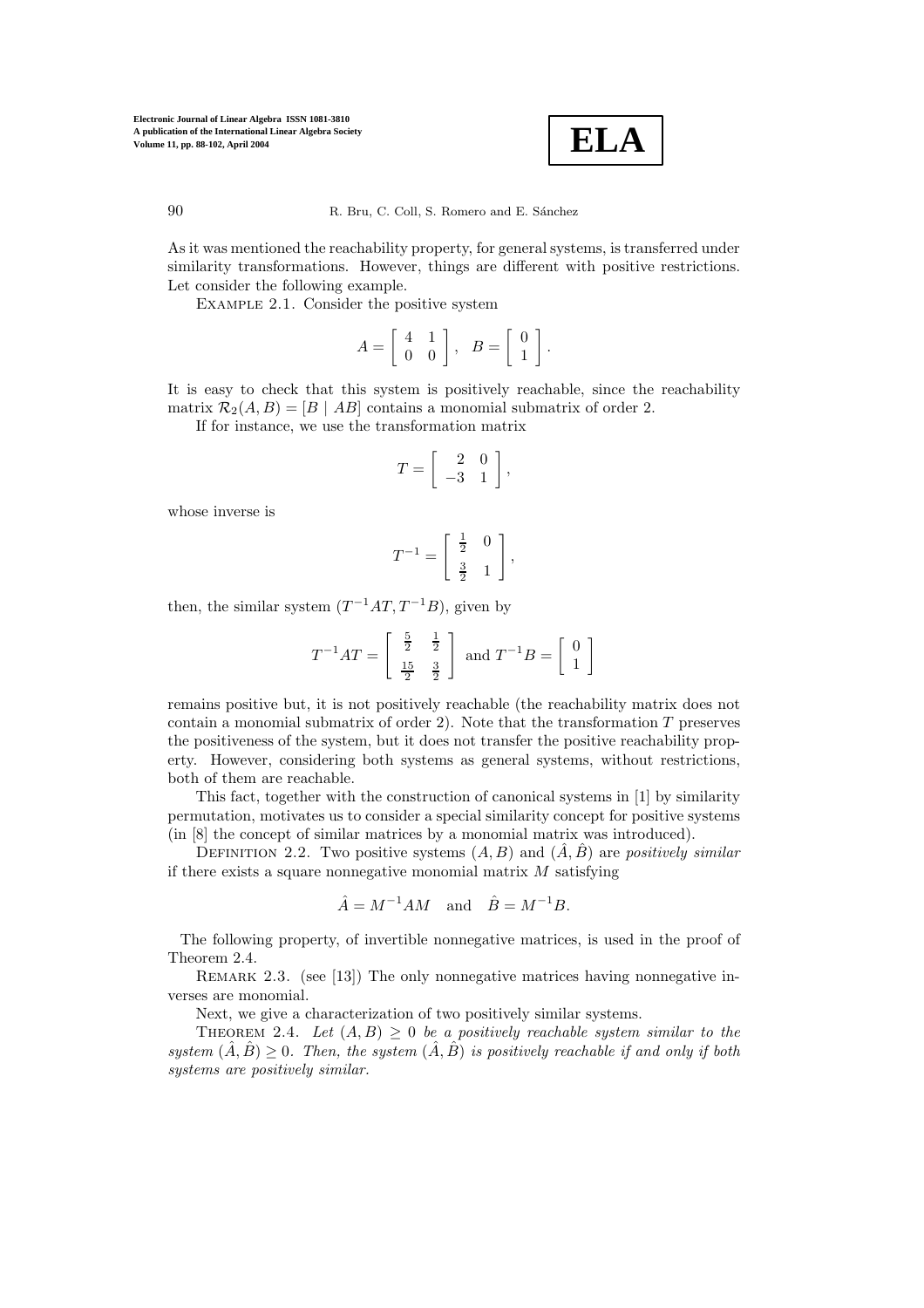

As it was mentioned the reachability property, for general systems, is transferred under similarity transformations. However, things are different with positive restrictions. Let consider the following example.

Example 2.1. Consider the positive system

$$
A = \left[ \begin{array}{cc} 4 & 1 \\ 0 & 0 \end{array} \right], \quad B = \left[ \begin{array}{c} 0 \\ 1 \end{array} \right].
$$

It is easy to check that this system is positively reachable, since the reachability matrix  $\mathcal{R}_2(A, B) = [B \mid AB]$  contains a monomial submatrix of order 2.

If for instance, we use the transformation matrix

$$
T = \left[ \begin{array}{rr} 2 & 0 \\ -3 & 1 \end{array} \right],
$$

whose inverse is

$$
T^{-1} = \left[\begin{array}{cc} \frac{1}{2} & 0\\ \frac{3}{2} & 1 \end{array}\right],
$$

then, the similar system  $(T^{-1}AT, T^{-1}B)$ , given by

$$
T^{-1}AT = \begin{bmatrix} \frac{5}{2} & \frac{1}{2} \\ \frac{15}{2} & \frac{3}{2} \end{bmatrix} \text{ and } T^{-1}B = \begin{bmatrix} 0 \\ 1 \end{bmatrix}
$$

remains positive but, it is not positively reachable (the reachability matrix does not contain a monomial submatrix of order 2). Note that the transformation  $T$  preserves the positiveness of the system, but it does not transfer the positive reachability property. However, considering both systems as general systems, without restrictions, both of them are reachable.

This fact, together with the construction of canonical systems in [1] by similarity permutation, motivates us to consider a special similarity concept for positive systems (in [8] the concept of similar matrices by a monomial matrix was introduced).

DEFINITION 2.2. Two positive systems  $(A, B)$  and  $(A, B)$  are *positively similar* if there exists a square nonnegative monomial matrix  $M$  satisfying

$$
\hat{A} = M^{-1}AM \quad \text{and} \quad \hat{B} = M^{-1}B.
$$

The following property, of invertible nonnegative matrices, is used in the proof of Theorem 2.4.

REMARK 2.3. (see [13]) The only nonnegative matrices having nonnegative inverses are monomial.

Next, we give a characterization of two positively similar systems.

THEOREM 2.4. Let  $(A, B) > 0$  be a positively reachable system similar to the *system*  $(\hat{A}, \hat{B}) \geq 0$ . Then, the system  $(\hat{A}, \hat{B})$  *is positively reachable if and only if both systems are positively similar.*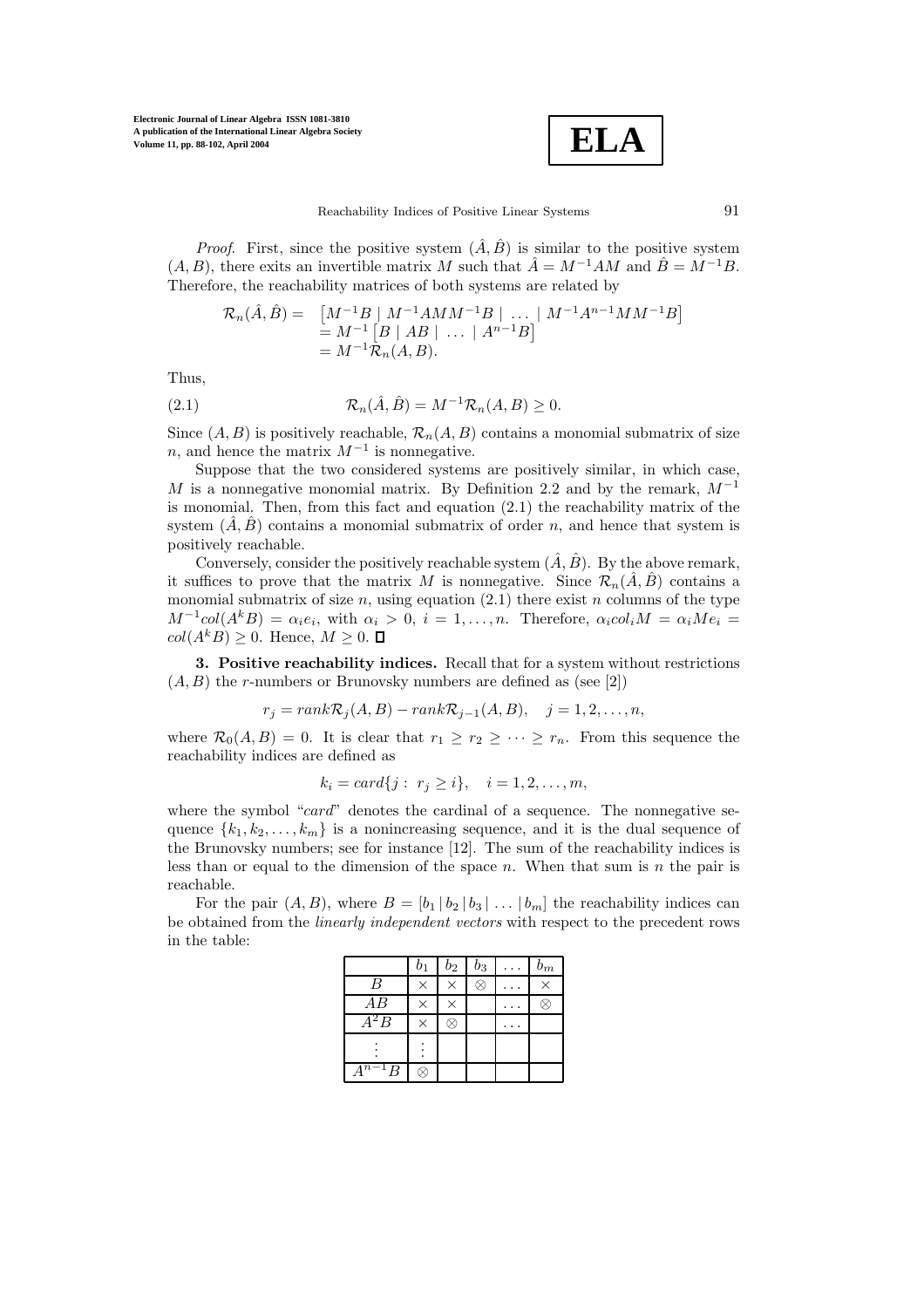

*Proof.* First, since the positive system  $(\hat{A}, \hat{B})$  is similar to the positive system  $(A, B)$ , there exits an invertible matrix M such that  $\hat{A} = M^{-1}AM$  and  $\hat{B} = M^{-1}B$ . Therefore, the reachability matrices of both systems are related by

$$
\mathcal{R}_n(\hat{A}, \hat{B}) = \left[ \begin{array}{c} M^{-1}B \mid M^{-1}AMM^{-1}B \mid \dots \mid M^{-1}A^{n-1}MM^{-1}B \end{array} \right] \n= M^{-1} \left[ B \mid AB \mid \dots \mid A^{n-1}B \right] \n= M^{-1} \mathcal{R}_n(A, B).
$$

Thus,

(2.1) 
$$
\mathcal{R}_n(\hat{A}, \hat{B}) = M^{-1} \mathcal{R}_n(A, B) \ge 0.
$$

Since  $(A, B)$  is positively reachable,  $\mathcal{R}_n(A, B)$  contains a monomial submatrix of size n, and hence the matrix  $M^{-1}$  is nonnegative.

Suppose that the two considered systems are positively similar, in which case, M is a nonnegative monomial matrix. By Definition 2.2 and by the remark,  $M^{-1}$ is monomial. Then, from this fact and equation  $(2.1)$  the reachability matrix of the system  $(A, B)$  contains a monomial submatrix of order n, and hence that system is positively reachable.

Conversely, consider the positively reachable system  $(\hat{A}, \hat{B})$ . By the above remark, it suffices to prove that the matrix M is nonnegative. Since  $\mathcal{R}_n(\hat{A}, \hat{B})$  contains a monomial submatrix of size  $n$ , using equation (2.1) there exist  $n$  columns of the type  $M^{-1}col(A<sup>k</sup>B) = \alpha_i e_i$ , with  $\alpha_i > 0$ ,  $i = 1, \ldots, n$ . Therefore,  $\alpha_i col_i M = \alpha_i Me_i$  $col(A^k B) \geq 0$ . Hence,  $M \geq 0$ .  $\Box$ 

**3. Positive reachability indices.** Recall that for a system without restrictions  $(A, B)$  the *r*-numbers or Brunovsky numbers are defined as (see [2])

$$
r_j = rank \mathcal{R}_j(A, B) - rank \mathcal{R}_{j-1}(A, B), \quad j = 1, 2, \dots, n,
$$

where  $\mathcal{R}_0(A, B) = 0$ . It is clear that  $r_1 \geq r_2 \geq \cdots \geq r_n$ . From this sequence the reachability indices are defined as

$$
k_i = card\{j : r_j \ge i\}, \quad i = 1, 2, ..., m,
$$

where the symbol "card" denotes the cardinal of a sequence. The nonnegative sequence  $\{k_1, k_2, \ldots, k_m\}$  is a nonincreasing sequence, and it is the dual sequence of the Brunovsky numbers; see for instance [12]. The sum of the reachability indices is less than or equal to the dimension of the space  $n$ . When that sum is  $n$  the pair is reachable.

For the pair  $(A, B)$ , where  $B = \begin{bmatrix} b_1 & b_2 & b_3 \end{bmatrix} \dots \begin{bmatrix} b_m \end{bmatrix}$  the reachability indices can be obtained from the *linearly independent vectors* with respect to the precedent rows in the table:

|            | $b_1$    | $b_{2}$ | $_{b_3}$           | $b_m$ |
|------------|----------|---------|--------------------|-------|
| B          | $\times$ | X       | $\widehat{\times}$ | X     |
| AВ         | $\times$ | X       |                    |       |
| $A^2B$     | $\times$ |         |                    |       |
|            |          |         |                    |       |
| $A^{n-1}B$ |          |         |                    |       |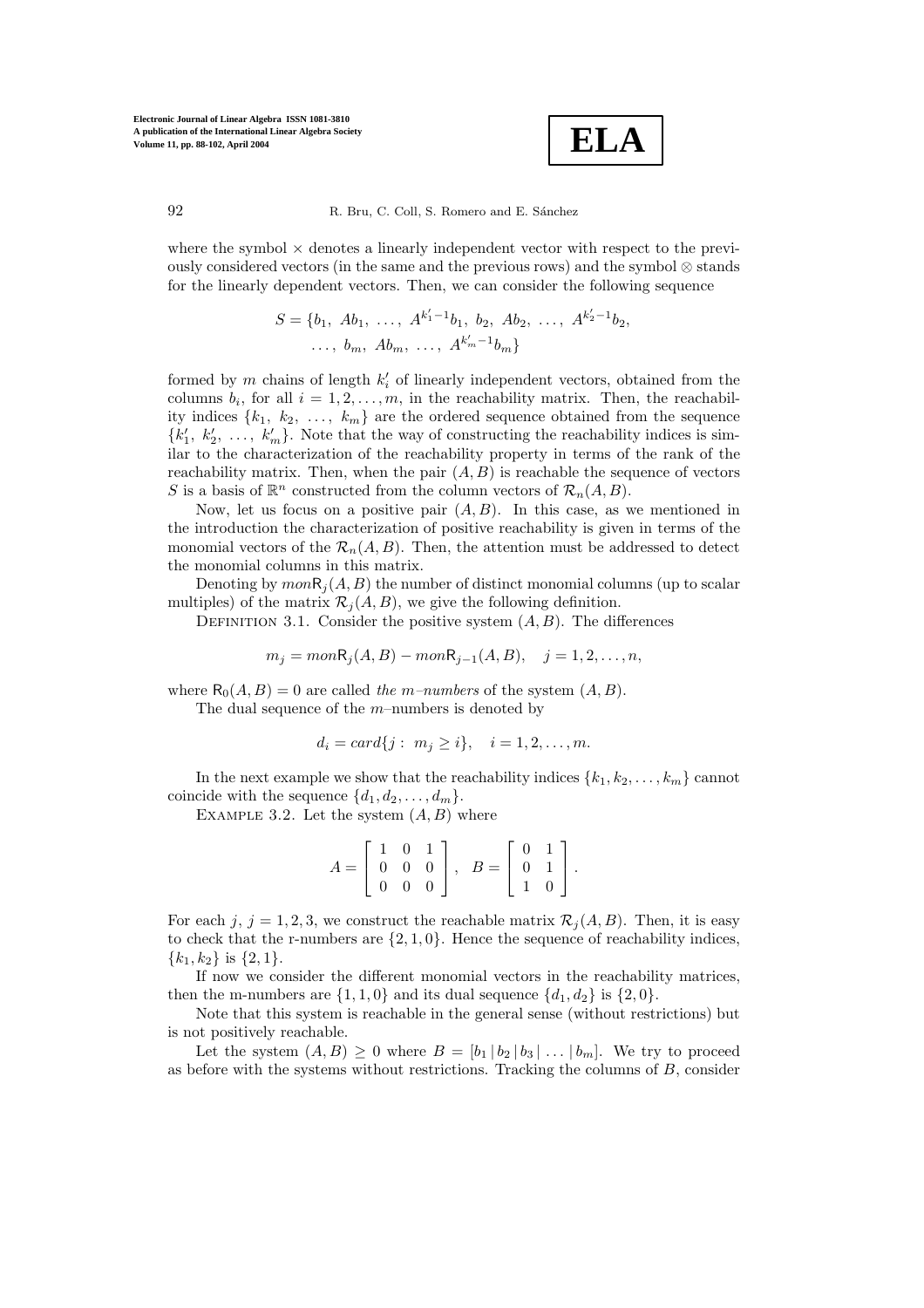

where the symbol  $\times$  denotes a linearly independent vector with respect to the previously considered vectors (in the same and the previous rows) and the symbol  $\otimes$  stands for the linearly dependent vectors. Then, we can consider the following sequence

$$
S = \{b_1, Ab_1, \ldots, A^{k'_1 - 1}b_1, b_2, Ab_2, \ldots, A^{k'_2 - 1}b_2, \ldots, b_m, Ab_m, \ldots, A^{k'_m - 1}b_m\}
$$

formed by  $m$  chains of length  $k_i'$  of linearly independent vectors, obtained from the columns  $b_i$ , for all  $i = 1, 2, ..., m$ , in the reachability matrix. Then, the reachability indices  ${k_1, k_2, ..., k_m}$  are the ordered sequence obtained from the sequence  $\{k'_1, k'_2, \ldots, k'_m\}$ . Note that the way of constructing the reachability indices is similar to the characterization of the reachability property in terms of the rank of the reachability matrix. Then, when the pair  $(A, B)$  is reachable the sequence of vectors S is a basis of  $\mathbb{R}^n$  constructed from the column vectors of  $\mathcal{R}_n(A, B)$ .

Now, let us focus on a positive pair  $(A, B)$ . In this case, as we mentioned in the introduction the characterization of positive reachability is given in terms of the monomial vectors of the  $\mathcal{R}_n(A, B)$ . Then, the attention must be addressed to detect the monomial columns in this matrix.

Denoting by  $monR<sub>i</sub>(A, B)$  the number of distinct monomial columns (up to scalar multiples) of the matrix  $\mathcal{R}_j(A, B)$ , we give the following definition.

DEFINITION 3.1. Consider the positive system  $(A, B)$ . The differences

$$
m_j = mon R_j(A, B) - mon R_{j-1}(A, B), \quad j = 1, 2, ..., n,
$$

where  $R_0(A, B) = 0$  are called *the m–numbers* of the system  $(A, B)$ . The dual sequence of the  $m$ –numbers is denoted by

$$
d_i = card\{j : m_j \ge i\}, \quad i = 1, 2, ..., m.
$$

In the next example we show that the reachability indices  $\{k_1, k_2, \ldots, k_m\}$  cannot coincide with the sequence  $\{d_1, d_2, \ldots, d_m\}.$ 

EXAMPLE 3.2. Let the system  $(A, B)$  where

$$
A = \left[ \begin{array}{rrr} 1 & 0 & 1 \\ 0 & 0 & 0 \\ 0 & 0 & 0 \end{array} \right], \quad B = \left[ \begin{array}{rrr} 0 & 1 \\ 0 & 1 \\ 1 & 0 \end{array} \right].
$$

For each j,  $j = 1, 2, 3$ , we construct the reachable matrix  $\mathcal{R}_j(A, B)$ . Then, it is easy to check that the r-numbers are  $\{2, 1, 0\}$ . Hence the sequence of reachability indices,  ${k_1, k_2}$  is  ${2, 1}$ .

If now we consider the different monomial vectors in the reachability matrices, then the m-numbers are  $\{1, 1, 0\}$  and its dual sequence  $\{d_1, d_2\}$  is  $\{2, 0\}$ .

Note that this system is reachable in the general sense (without restrictions) but is not positively reachable.

Let the system  $(A, B) \geq 0$  where  $B = [b_1 | b_2 | b_3 | \dots | b_m]$ . We try to proceed as before with the systems without restrictions. Tracking the columns of  $B$ , consider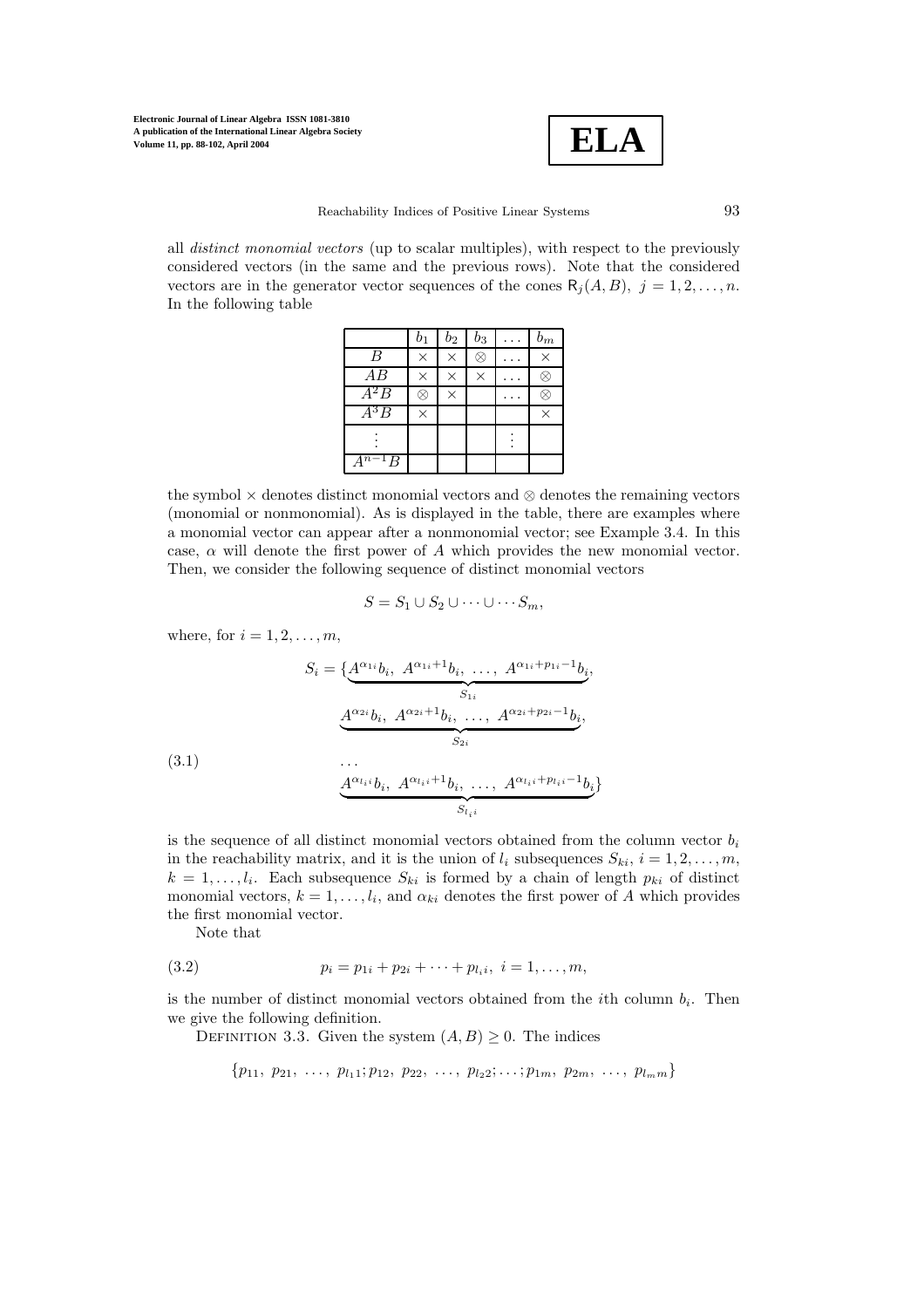

Reachability Indices of Positive Linear Systems  $93$ 

all *distinct monomial vectors* (up to scalar multiples), with respect to the previously considered vectors (in the same and the previous rows). Note that the considered vectors are in the generator vector sequences of the cones  $R_i(A, B)$ ,  $j = 1, 2, \ldots, n$ . In the following table

|                  | b1       | $b_2$    | $b_3$    | $b_{\underline{m}}$ |
|------------------|----------|----------|----------|---------------------|
| $\boldsymbol{B}$ | $\times$ | $\times$ | X        | $\times$            |
| AB               | $\times$ | ×        | $\times$ |                     |
| $A^2B$           | x        | $\times$ |          |                     |
| $A^3B$           | $\times$ |          |          | $\times$            |
|                  |          |          |          |                     |
| $A^{n-1}B$       |          |          |          |                     |

the symbol  $\times$  denotes distinct monomial vectors and  $\otimes$  denotes the remaining vectors (monomial or nonmonomial). As is displayed in the table, there are examples where a monomial vector can appear after a nonmonomial vector; see Example 3.4. In this case,  $\alpha$  will denote the first power of A which provides the new monomial vector. Then, we consider the following sequence of distinct monomial vectors

$$
S = S_1 \cup S_2 \cup \cdots \cup \cdots S_m,
$$

where, for  $i = 1, 2, \ldots, m$ ,

$$
S_i = \underbrace{A^{\alpha_{1i}}b_i, A^{\alpha_{1i}+1}b_i, \dots, A^{\alpha_{1i}+p_{1i}-1}b_i}_{S_{1i}},
$$

$$
\underbrace{A^{\alpha_{2i}}b_i, A^{\alpha_{2i}+1}b_i, \dots, A^{\alpha_{2i}+p_{2i}-1}b_i}_{S_{2i}},
$$
(3.1)

$$
\underbrace{A^{\alpha_{l_i i}}b_i,\ A^{\alpha_{l_i i}+1}b_i,\ \dots,\ A^{\alpha_{l_i i}+p_{l_i i}-1}b_i}_{S_{l_i i}}\}
$$

is the sequence of all distinct monomial vectors obtained from the column vector  $b_i$ in the reachability matrix, and it is the union of  $l_i$  subsequences  $S_{ki}$ ,  $i = 1, 2, \ldots, m$ ,  $k = 1, \ldots, l_i$ . Each subsequence  $S_{ki}$  is formed by a chain of length  $p_{ki}$  of distinct monomial vectors,  $k = 1, \ldots, l_i$ , and  $\alpha_{ki}$  denotes the first power of A which provides the first monomial vector.

Note that

(3.2) 
$$
p_i = p_{1i} + p_{2i} + \cdots + p_{l_i}, \quad i = 1, \ldots, m,
$$

is the number of distinct monomial vectors obtained from the *i*th column  $b_i$ . Then we give the following definition.

DEFINITION 3.3. Given the system  $(A, B) \geq 0$ . The indices

$$
\{p_{11}, p_{21}, \ldots, p_{l_11}; p_{12}, p_{22}, \ldots, p_{l_22}; \ldots; p_{1m}, p_{2m}, \ldots, p_{l_m m}\}\
$$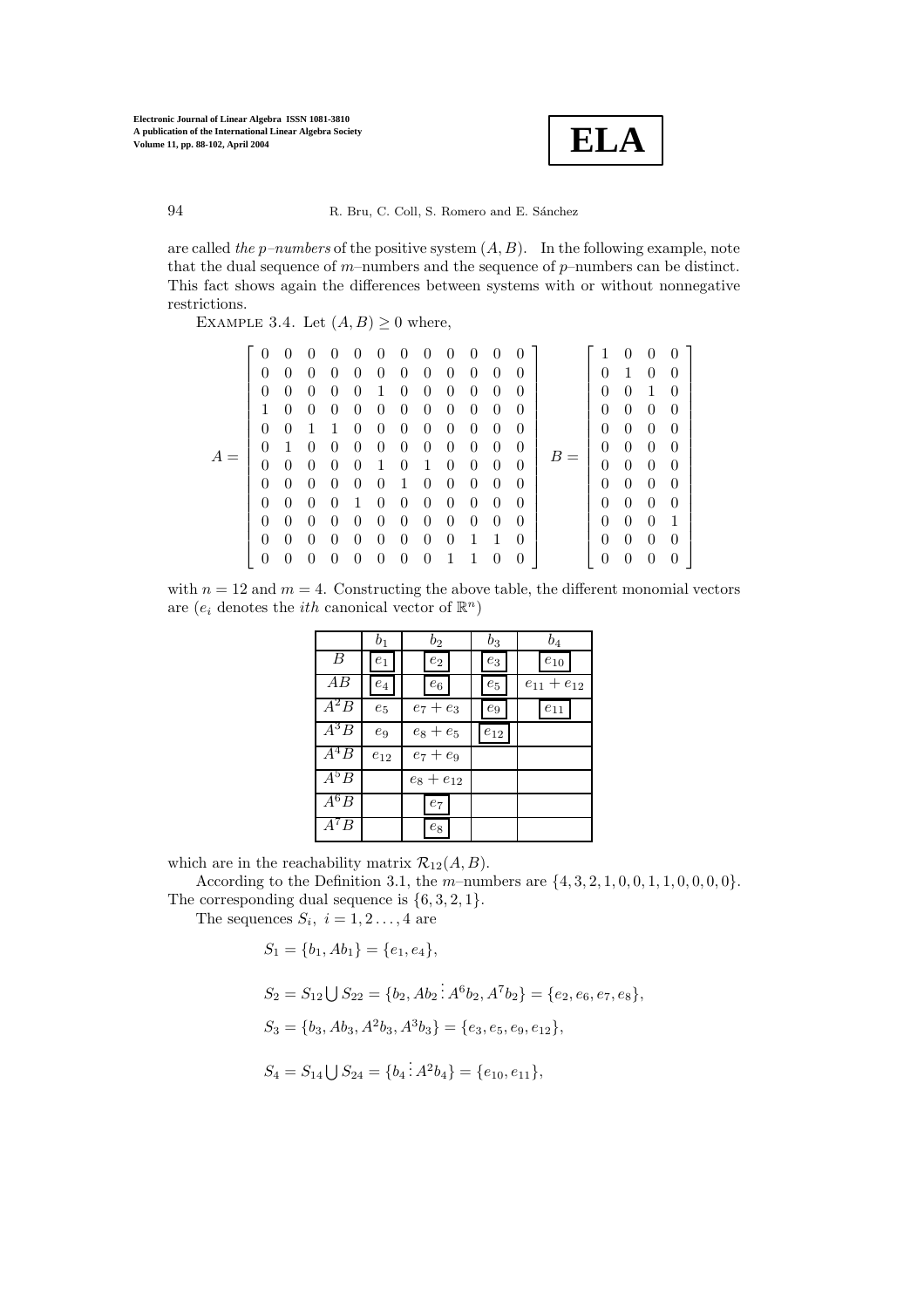

are called *the* p*–numbers* of the positive system (A, B). In the following example, note that the dual sequence of  $m$ –numbers and the sequence of  $p$ –numbers can be distinct. This fact shows again the differences between systems with or without nonnegative restrictions.

EXAMPLE 3.4. Let  $(A, B) \geq 0$  where,

| $\theta$<br>$\Omega$<br>$\Omega$<br>$\Omega$<br>1<br>$\Omega$                                                          |          |
|------------------------------------------------------------------------------------------------------------------------|----------|
|                                                                                                                        |          |
|                                                                                                                        |          |
|                                                                                                                        |          |
| $\Omega$<br>$\Omega$                                                                                                   |          |
| $\Omega$<br>0                                                                                                          |          |
| $\Omega$<br>0                                                                                                          |          |
| $\theta$<br>$\Omega$                                                                                                   |          |
| $\overline{0}$<br>$\Omega$                                                                                             |          |
| $\theta$<br>$\Omega$                                                                                                   |          |
| 1<br>$\theta$                                                                                                          |          |
| $\Omega$<br>$\Omega$                                                                                                   |          |
| $\theta$<br>∩                                                                                                          |          |
| $\theta$<br>$\theta$<br>$\theta$<br>$\theta$<br>$\theta$<br>$\theta$<br>$\overline{0}$<br>$\theta$<br>$\boldsymbol{0}$ | $\theta$ |

with  $n = 12$  and  $m = 4$ . Constructing the above table, the different monomial vectors are  $(e_i$  denotes the *ith* canonical vector of  $\mathbb{R}^n$ )

|                   | $b_1$            | $b_{2}$            | $b_3$              | $b_4$             |
|-------------------|------------------|--------------------|--------------------|-------------------|
| B                 | $e_1$            | $\boldsymbol{e}_2$ | $\mathfrak{e}_3$   | $e_\mathrm{10}$   |
| AВ                | $\mathfrak{e}_4$ | $e_6$              | $\boldsymbol{e}_5$ | $e_{11} + e_{12}$ |
| $\overline{A^2}B$ | $e_5$            | $e_7 + e_3$        | $e_9$              | $e_{11}$          |
| $A^3B$            | $e_9$            | $e_8+e_5$          | $e_{12}$           |                   |
| $\overline{A^4}B$ | $e_{12}$         | $e_7 + e_9$        |                    |                   |
| $A^5B$            |                  | $e_8 + e_{12}$     |                    |                   |
| $\overline{A^6B}$ |                  | $\boldsymbol{e}_7$ |                    |                   |
| $A^7B$            |                  | $e_8$              |                    |                   |

which are in the reachability matrix  $\mathcal{R}_{12}(A, B)$ .

According to the Definition 3.1, the  $m$ -numbers are  $\{4, 3, 2, 1, 0, 0, 1, 1, 0, 0, 0, 0\}$ .

The corresponding dual sequence is  $\{6, 3, 2, 1\}.$ The sequences  $S_i$ ,  $i = 1, 2 \ldots, 4$  are

 $S_1 = \{b_1, Ab_1\} = \{e_1, e_4\},\$ 

$$
S_2 = S_{12} \bigcup S_{22} = \{b_2, Ab_2 : A^6b_2, A^7b_2\} = \{e_2, e_6, e_7, e_8\},\
$$

 $S_3 = \{b_3, Ab_3, A^2b_3, A^3b_3\} = \{e_3, e_5, e_9, e_{12}\},\$ 

$$
S_4 = S_{14} \bigcup S_{24} = \{b_4 \overline{\cdot} A^2 b_4\} = \{e_{10}, e_{11}\},
$$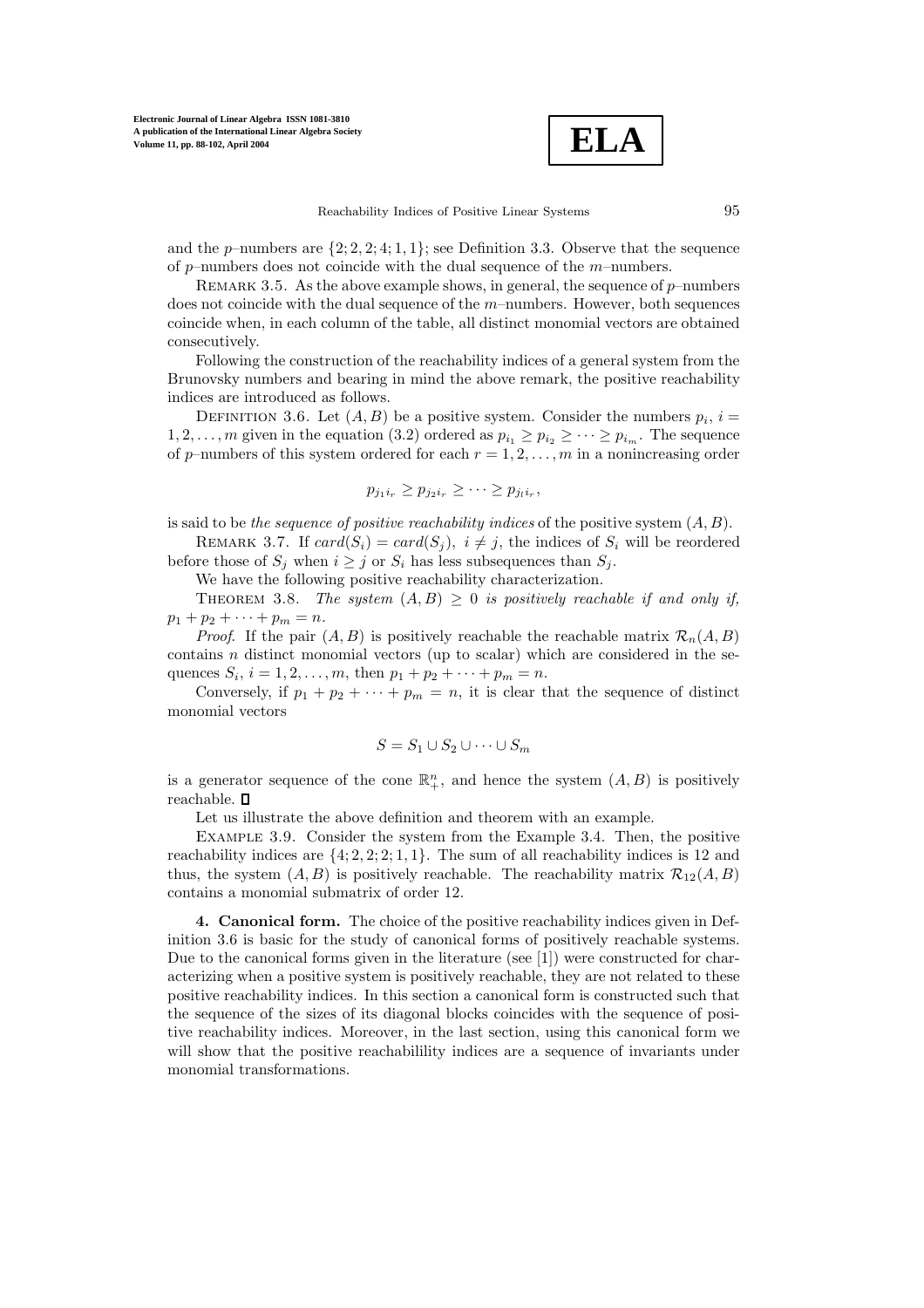**ELA**

and the p–numbers are  $\{2, 2, 2, 4, 1, 1\}$ ; see Definition 3.3. Observe that the sequence of  $p$ -numbers does not coincide with the dual sequence of the  $m$ -numbers.

REMARK 3.5. As the above example shows, in general, the sequence of  $p$ –numbers does not coincide with the dual sequence of the  $m$ –numbers. However, both sequences coincide when, in each column of the table, all distinct monomial vectors are obtained consecutively.

Following the construction of the reachability indices of a general system from the Brunovsky numbers and bearing in mind the above remark, the positive reachability indices are introduced as follows.

DEFINITION 3.6. Let  $(A, B)$  be a positive system. Consider the numbers  $p_i$ ,  $i =$ 1, 2,..., *m* given in the equation (3.2) ordered as  $p_{i_1} \geq p_{i_2} \geq \cdots \geq p_{i_m}$ . The sequence of p–numbers of this system ordered for each  $r = 1, 2, \ldots, m$  in a nonincreasing order

$$
p_{j_1i_r} \geq p_{j_2i_r} \geq \cdots \geq p_{j_1i_r},
$$

is said to be *the sequence of positive reachability indices* of the positive system (A, B).

REMARK 3.7. If  $card(S_i) = card(S_j)$ ,  $i \neq j$ , the indices of  $S_i$  will be reordered before those of  $S_i$  when  $i \geq j$  or  $S_i$  has less subsequences than  $S_i$ .

We have the following positive reachability characterization.

THEOREM 3.8. *The system*  $(A, B) \geq 0$  *is positively reachable if and only if,*  $p_1 + p_2 + \cdots + p_m = n.$ 

*Proof.* If the pair  $(A, B)$  is positively reachable the reachable matrix  $\mathcal{R}_n(A, B)$ contains  $n$  distinct monomial vectors (up to scalar) which are considered in the sequences  $S_i$ ,  $i = 1, 2, ..., m$ , then  $p_1 + p_2 + \cdots + p_m = n$ .

Conversely, if  $p_1 + p_2 + \cdots + p_m = n$ , it is clear that the sequence of distinct monomial vectors

$$
S = S_1 \cup S_2 \cup \cdots \cup S_m
$$

is a generator sequence of the cone  $\mathbb{R}^n_+$ , and hence the system  $(A, B)$  is positively reachable.  $\Box$ 

Let us illustrate the above definition and theorem with an example.

Example 3.9. Consider the system from the Example 3.4. Then, the positive reachability indices are  $\{4; 2, 2; 2; 1, 1\}$ . The sum of all reachability indices is 12 and thus, the system  $(A, B)$  is positively reachable. The reachability matrix  $\mathcal{R}_{12}(A, B)$ contains a monomial submatrix of order 12.

**4. Canonical form.** The choice of the positive reachability indices given in Definition 3.6 is basic for the study of canonical forms of positively reachable systems. Due to the canonical forms given in the literature (see [1]) were constructed for characterizing when a positive system is positively reachable, they are not related to these positive reachability indices. In this section a canonical form is constructed such that the sequence of the sizes of its diagonal blocks coincides with the sequence of positive reachability indices. Moreover, in the last section, using this canonical form we will show that the positive reachabilility indices are a sequence of invariants under monomial transformations.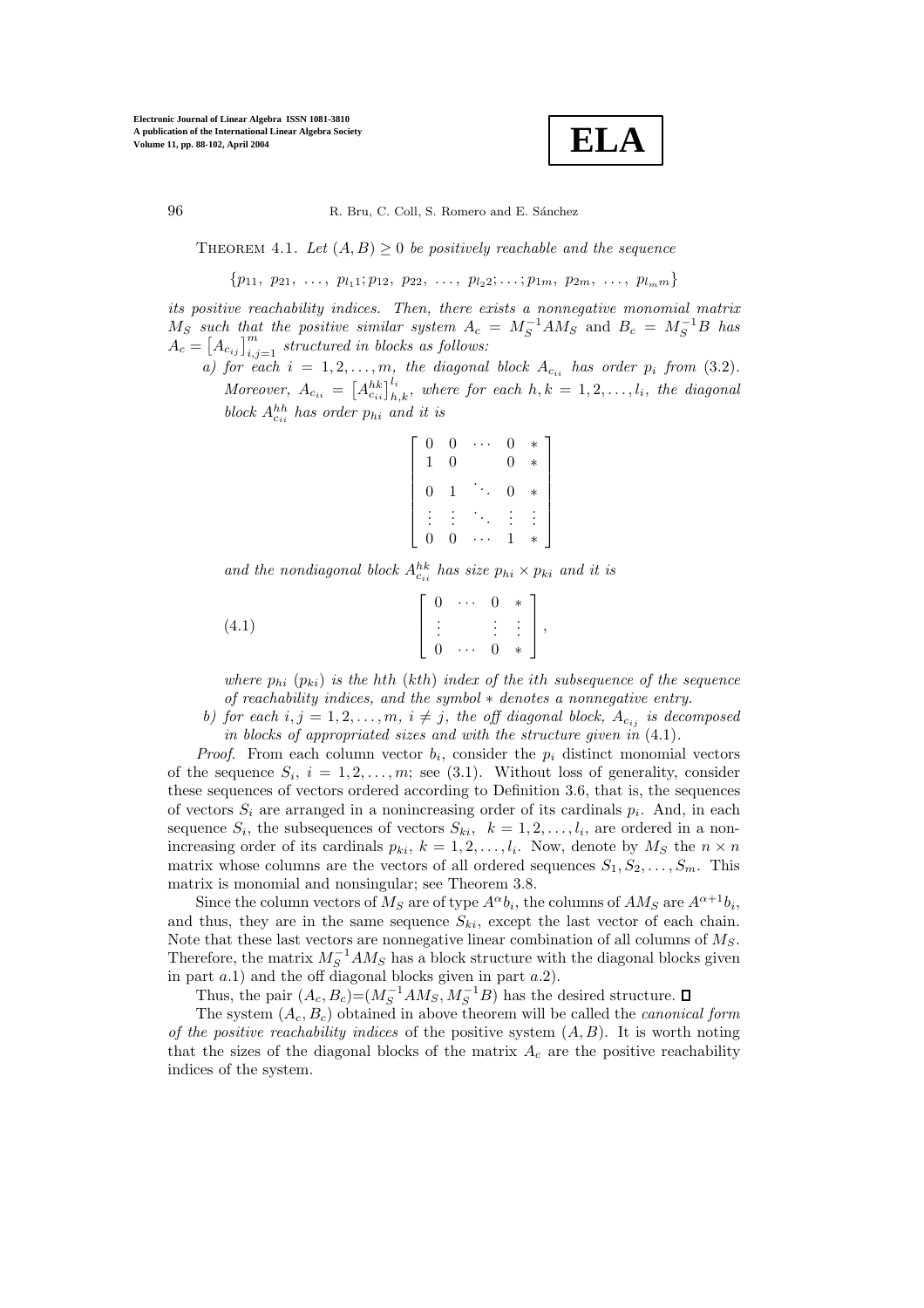**ELA**

THEOREM 4.1. Let  $(A, B) \geq 0$  *be positively reachable and the sequence* 

 $\{p_{11}, p_{21}, \ldots, p_{l_11}; p_{12}, p_{22}, \ldots, p_{l_22}; \ldots; p_{1m}, p_{2m}, \ldots, p_{l_m m}\}\$ 

*its positive reachability indices. Then, there exists a nonnegative monomial matrix*  $M_S$  *such that the positive similar system*  $A_c = M_S^{-1}AM_S$  and  $B_c = M_S^{-1}B$  has  $\widetilde{A_c} = \left[A_{c_{ij}}\right]_{i,j=1}^m$  *structured in blocks as follows:* 

*a)* for each  $i = 1, 2, \ldots, m$ , the diagonal block  $A_{c_{ii}}$  has order  $p_i$  from (3.2). *Moreover,*  $A_{c_{ii}} = \left[A_{c_{ii}}^{hk}\right]_{h,k}^{l_i}$ , where for each  $h, k = 1, 2, \ldots, l_i$ , the diagonal block  $A_{c_{ii}}^{hh}$  has order  $p_{hi}$  and it is

$$
\left[\begin{array}{ccccc} 0 & 0 & \cdots & 0 & * \\ 1 & 0 & & 0 & * \\ 0 & 1 & \ddots & 0 & * \\ \vdots & \vdots & \ddots & \vdots & \vdots \\ 0 & 0 & \cdots & 1 & * \end{array}\right]
$$

and the nondiagonal block  $A_{c_{ii}}^{hk}$  has size  $p_{hi} \times p_{ki}$  and it is

$$
(4.1) \qquad \qquad \begin{bmatrix} 0 & \cdots & 0 & * \\ \vdots & & \vdots & \vdots \\ 0 & \cdots & 0 & * \end{bmatrix},
$$

*where*  $p_{hi}$   $(p_{ki})$  *is the hth*  $(kth)$  *index of the ith subsequence of the sequence of reachability indices, and the symbol* ∗ *denotes a nonnegative entry.*

*b)* for each  $i, j = 1, 2, \ldots, m, i \neq j$ , the off diagonal block,  $A_{c_{ij}}$  is decomposed *in blocks of appropriated sizes and with the structure given in* (4.1)*.*

*Proof.* From each column vector  $b_i$ , consider the  $p_i$  distinct monomial vectors of the sequence  $S_i$ ,  $i = 1, 2, ..., m$ ; see (3.1). Without loss of generality, consider these sequences of vectors ordered according to Definition 3.6, that is, the sequences of vectors  $S_i$  are arranged in a nonincreasing order of its cardinals  $p_i$ . And, in each sequence  $S_i$ , the subsequences of vectors  $S_{ki}$ ,  $k = 1, 2, \ldots, l_i$ , are ordered in a nonincreasing order of its cardinals  $p_{ki}$ ,  $k = 1, 2, ..., l_i$ . Now, denote by  $M_S$  the  $n \times n$ matrix whose columns are the vectors of all ordered sequences  $S_1, S_2, \ldots, S_m$ . This matrix is monomial and nonsingular; see Theorem 3.8.

Since the column vectors of  $M_S$  are of type  $A^{\alpha}b_i$ , the columns of  $AM_S$  are  $A^{\alpha+1}b_i$ , and thus, they are in the same sequence  $S_{ki}$ , except the last vector of each chain. Note that these last vectors are nonnegative linear combination of all columns of  $M_S$ . Therefore, the matrix  $M_S^{-1}AM_S$  has a block structure with the diagonal blocks given in part  $a.1$ ) and the off diagonal blocks given in part  $a.2$ ).

Thus, the pair  $(A_c, B_c) = (M_S^{-1}AM_S, M_S^{-1}B)$  has the desired structure.

The system (Ac, Bc) obtained in above theorem will be called the *canonical form of the positive reachability indices* of the positive system (A, B). It is worth noting that the sizes of the diagonal blocks of the matrix  $A_c$  are the positive reachability indices of the system.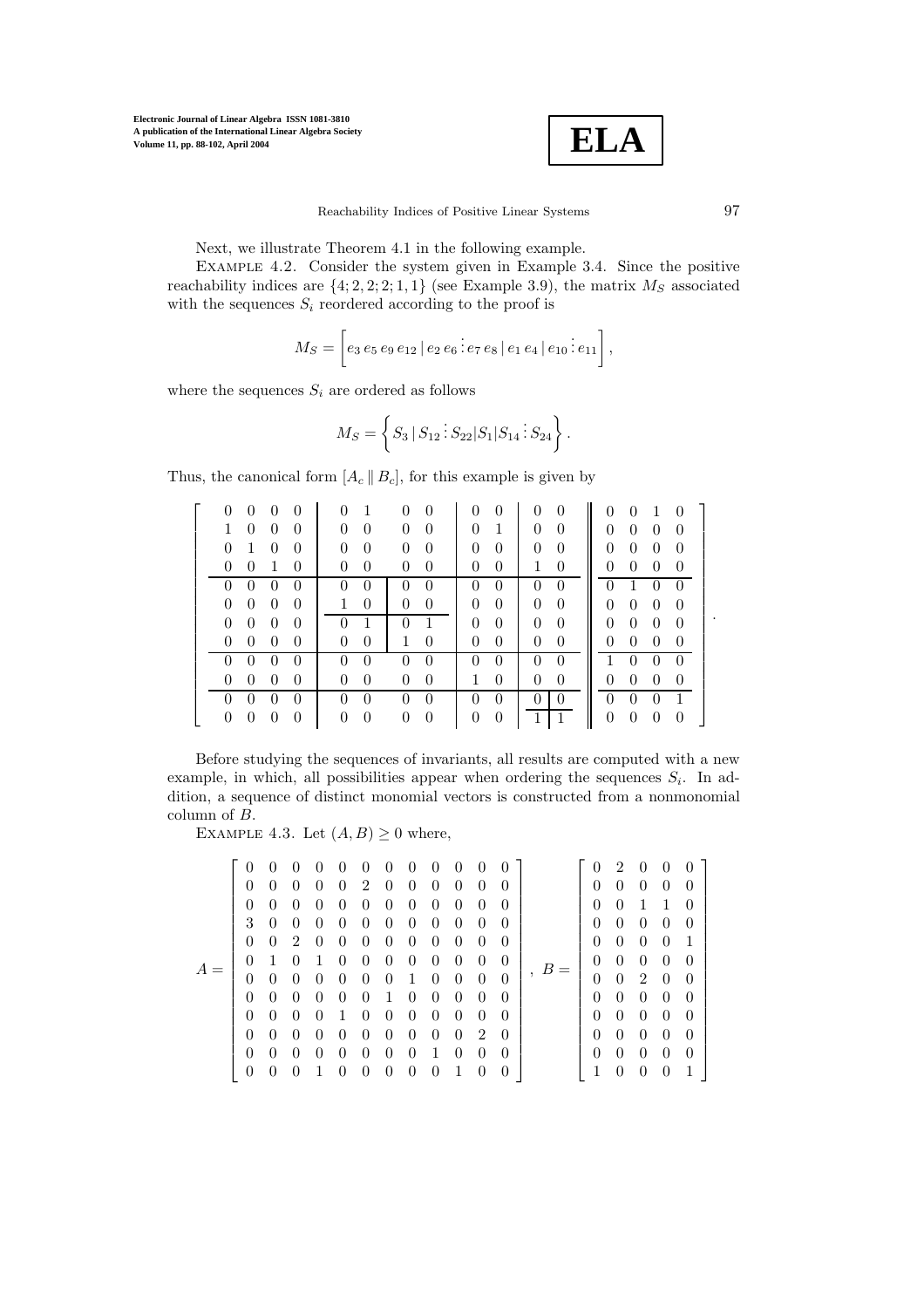

Next, we illustrate Theorem 4.1 in the following example.

Example 4.2. Consider the system given in Example 3.4. Since the positive reachability indices are  $\{4; 2, 2; 2; 1, 1\}$  (see Example 3.9), the matrix  $M<sub>S</sub>$  associated with the sequences  $S_i$  reordered according to the proof is

$$
M_S = \left[ e_3 e_5 e_9 e_{12} | e_2 e_6 \vdots e_7 e_8 | e_1 e_4 | e_{10} \vdots e_{11} \right],
$$

where the sequences  $S_i$  are ordered as follows

$$
M_S = \left\{ S_3 \, | \, S_{12} \, \vdots \, S_{22} | S_1 | S_{14} \, \vdots \, S_{24} \right\}.
$$

Thus, the canonical form  $[A_c || B_c]$ , for this example is given by

| $\Omega$<br>$\Omega$                                           |                                                              | $\Omega$<br>0<br>$\Omega$                                            | $\Omega$<br>$\Omega$<br>$\overline{1}$<br>- 0                        |
|----------------------------------------------------------------|--------------------------------------------------------------|----------------------------------------------------------------------|----------------------------------------------------------------------|
| $\overline{0}$<br>$\overline{0}$<br>$\Omega$                   | 0<br>0<br>$\Omega$                                           | $\Omega$<br>$\Omega$<br>$\theta$<br>1                                | $\overline{0}$<br>$\theta$<br>$\overline{0}$<br>$\Omega$             |
| $\Omega$<br>$\overline{1}$<br>$\Omega$<br>$\Omega$             | $\theta$<br>$\Omega$<br>$\Omega$<br>$\Omega$                 | $\Omega$<br>$\Omega$<br>$\Omega$<br>$\theta$                         | $\overline{0}$<br>$\overline{0}$<br>$\overline{0}$<br>$\overline{0}$ |
| $\theta$<br>$\overline{0}$<br>$\overline{1}$<br>$\Omega$       | $\Omega$<br>$\theta$<br>$\Omega$<br>$\Omega$                 | $\overline{0}$<br>$\theta$<br>$\mathbf{1}$<br>$\theta$               | $\overline{0}$<br>$\overline{0}$<br>$\overline{0}$<br>$\overline{0}$ |
| $0 \quad 0$<br>$\theta$<br>$\Omega$                            | $\Omega$<br>$\Omega$<br>$\Omega$                             | $\theta$<br>$\Omega$<br>$\Omega$<br>$\theta$                         | $0 \t1 \t0 \t0$                                                      |
| $\overline{0}$<br>$\overline{0}$<br>$\overline{0}$<br>$\Omega$ | $\Omega$<br>1<br>$\overline{0}$<br>$\overline{0}$            | $\overline{0}$<br>$\overline{0}$<br>$\overline{0}$<br>$\overline{0}$ | $\overline{0}$<br>$\overline{0}$<br>$\overline{0}$<br>$\overline{0}$ |
| $\overline{0}$<br>$\overline{0}$<br>$\overline{0}$<br>$\theta$ | $\theta$<br>$0\quad1$<br>$\overline{1}$                      | $\overline{0}$<br>$\overline{0}$<br>$\overline{0}$<br>$\overline{0}$ | $\overline{0}$<br>$\overline{0}$<br>$\overline{0}$<br>- 0            |
| $0\quad 0$<br>$\overline{0}$<br>$\theta$                       | $\overline{0}$<br>$\overline{0}$<br>$\mathbf{1}$<br>$\theta$ | $\overline{0}$<br>$\overline{0}$<br>$\overline{0}$<br>$\theta$       | $\overline{0}$<br>$\overline{0}$<br>$\overline{0}$<br>-0             |
| $\overline{0}$<br>$\overline{0}$<br>$\Omega$                   | $\overline{0}$<br>$\theta$<br>0<br>$\Omega$                  | $\overline{0}$<br>$\Omega$<br>$\overline{0}$<br>$\theta$             | $\overline{1}$<br>$\theta$<br>$\overline{0}$<br>$\overline{0}$       |
| $\Omega$<br>$\overline{0}$<br>$\overline{0}$<br>$\theta$       | $\overline{0}$<br>$\theta$<br>$\theta$<br>$\theta$           | $\overline{0}$<br>$\overline{0}$<br>$\mathbf{1}$<br>$\overline{0}$   | $\overline{0}$<br>$\overline{0}$<br>$\overline{0}$<br>$\overline{0}$ |
|                                                                | $\theta$                                                     | $\Omega$<br>$\theta$<br>$\theta$                                     | $\Omega$<br>$\theta$                                                 |
| $\theta$<br>$\theta$<br>$\theta$<br>$\left( \right)$           | $\theta$<br>$\theta$<br>$\theta$<br>$\theta$                 | $\overline{1}$<br>$\overline{0}$<br>$\theta$                         | $\overline{0}$<br>$\overline{0}$<br>$\overline{0}$<br>$\overline{0}$ |

Before studying the sequences of invariants, all results are computed with a new example, in which, all possibilities appear when ordering the sequences  $S_i$ . In addition, a sequence of distinct monomial vectors is constructed from a nonmonomial column of B.

EXAMPLE 4.3. Let  $(A, B) \geq 0$  where,

|       | $\theta$         | $\theta$       | $\theta$         | $\overline{0}$ | $\theta$       | $\overline{0}$ | $\overline{0}$ | $\overline{0}$ | $\overline{0}$ | $\overline{0}$ | $\overline{0}$ | $\Omega$       |       | $\Omega$       | $\overline{2}$ | $\overline{0}$ | $\Omega$       | $\Omega$ |  |
|-------|------------------|----------------|------------------|----------------|----------------|----------------|----------------|----------------|----------------|----------------|----------------|----------------|-------|----------------|----------------|----------------|----------------|----------|--|
|       | $\left( \right)$ | $\overline{0}$ | $\theta$         | $\overline{0}$ | $\overline{0}$ | 2              | $\overline{0}$ | $\overline{0}$ | $\overline{0}$ | $\overline{0}$ | $\overline{0}$ | $\Omega$       |       | $\theta$       | $\overline{0}$ | $\overline{0}$ | $\overline{0}$ | $\theta$ |  |
|       | $\Omega$         | $\overline{0}$ | $\theta$         | $\theta$       | $\theta$       | $\overline{0}$ | $\overline{0}$ | $\overline{0}$ | $\overline{0}$ | $\overline{0}$ | $\overline{0}$ | $\Omega$       |       | $\Omega$       | $\overline{0}$ | $\mathbf{1}$   | -1             | $\theta$ |  |
|       | 3                | $\theta$       | $\left( \right)$ | $\theta$       | $\theta$       | $\theta$       | $\overline{0}$ | $\overline{0}$ | $\overline{0}$ | $\overline{0}$ | $\theta$       | $\theta$       |       | $\theta$       | $\overline{0}$ | $\theta$       | $\theta$       | $\theta$ |  |
|       | $\Omega$         | $\overline{0}$ | $\overline{2}$   | $\overline{0}$ | $\overline{0}$ | $\overline{0}$ | $\overline{0}$ | $\overline{0}$ | $\overline{0}$ | $\overline{0}$ | $\overline{0}$ | $\Omega$       |       | $\theta$       | $\theta$       | $\theta$       | $\theta$       |          |  |
|       | $\left( \right)$ | $\mathbf{1}$   | $\Omega$         |                | $\overline{0}$ | $\overline{0}$ | $\overline{0}$ | $\overline{0}$ | $\overline{0}$ | $\overline{0}$ | $\theta$       | $\Omega$       | $B =$ | $\theta$       | $\theta$       | $\theta$       | $\theta$       | $\Omega$ |  |
| $A =$ | $\theta$         | $\overline{0}$ | $\theta$         | $\theta$       | $\theta$       | $\theta$       | $\overline{0}$ | $\mathbf{1}$   | $\theta$       | $\theta$       | $\theta$       | $\theta$       |       | $\overline{0}$ | $\overline{0}$ | 2              | $\overline{0}$ | $\Omega$ |  |
|       | $\left( \right)$ | $\overline{0}$ | $\left( \right)$ | $\theta$       | $\theta$       | $\theta$       | -1             | $\overline{0}$ | $\theta$       | $\overline{0}$ | $\theta$       | $\theta$       |       | $\Omega$       | $\theta$       | $\theta$       | $\theta$       | $\Omega$ |  |
|       | $\left($         | $\overline{0}$ | $\theta$         | $\overline{0}$ | 1              | $\theta$       | $\overline{0}$ | $\overline{0}$ | $\theta$       | $\overline{0}$ | $\theta$       | $\Omega$       |       | $\Omega$       | $\overline{0}$ | $\overline{0}$ | $\overline{0}$ | $\theta$ |  |
|       | $\theta$         | $\overline{0}$ | $\theta$         | 0              | $\theta$       | $\theta$       | $\overline{0}$ | $\overline{0}$ | $\theta$       | $\overline{0}$ | 2              | $\overline{0}$ |       | $\theta$       | $\overline{0}$ | $\overline{0}$ | $\overline{0}$ | $\theta$ |  |
|       | $\theta$         | $\overline{0}$ | $\theta$         | $\theta$       | $\theta$       | $\theta$       | $\theta$       | $\overline{0}$ | 1              | $\theta$       | $\theta$       | $\theta$       |       | $\theta$       | $\overline{0}$ | $\theta$       | $\theta$       | $\theta$ |  |
|       | $\overline{0}$   | $\theta$       |                  |                |                |                | $\theta$       | $\theta$       |                |                |                | $\theta$       |       |                | $\theta$       |                | $\theta$       |          |  |

.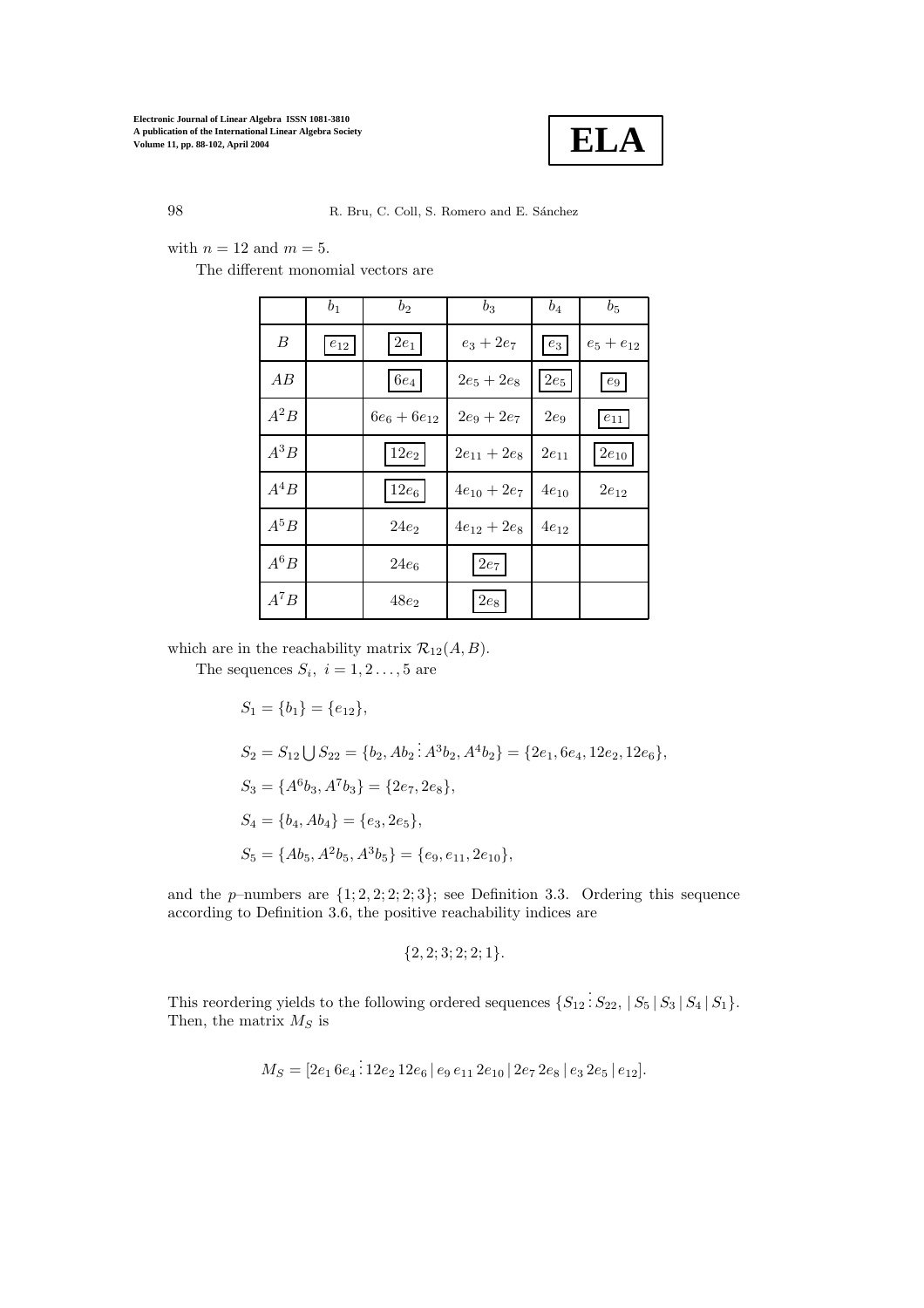

with  $n = 12$  and  $m = 5$ .

The different monomial vectors are

|          | $b_1$      | $b_2$            | $b_3$            | $b_4$              | $b_5$          |
|----------|------------|------------------|------------------|--------------------|----------------|
| B        | $e_{12}\,$ | $2e_1$           | $e_3 + 2e_7$     | $\boldsymbol{e}_3$ | $e_5 + e_{12}$ |
| AB       |            | $6e_4$           | $2e_5 + 2e_8$    | $2e_5$             | $e_9$          |
| $A^2B$   |            | $6e_6 + 6e_{12}$ | $2e_9 + 2e_7$    | $2e_9$             | $e_{11}$       |
| $A^3B$   |            | $12e_2$          | $2e_{11} + 2e_8$ | $2e_{11}$          | $2e_{10}$      |
| $A^4B\,$ |            | $12e_6$          | $4e_{10} + 2e_7$ | $4e_{10}$          | $2e_{12}$      |
| $A^5B$   |            | $24e_2$          | $4e_{12} + 2e_8$ | $4e_{12}$          |                |
| $A^6B\,$ |            | $24e_6$          | $2e_7$           |                    |                |
| $A^7B$   |            | $48e_2$          | $2e_8$           |                    |                |

which are in the reachability matrix  $\mathcal{R}_{12}(A, B)$ .

The sequences  $S_i$ ,  $i = 1, 2 \ldots, 5$  are

 $S_1 = \{b_1\} = \{e_{12}\},\$  $S_2 = S_{12} \bigcup S_{22} = \{b_2, Ab_2 : A^3b_2, A^4b_2\} = \{2e_1, 6e_4, 12e_2, 12e_6\},\$  $S_3 = \{A^6b_3, A^7b_3\} = \{2e_7, 2e_8\},\$  $S_4 = \{b_4, Ab_4\} = \{e_3, 2e_5\},\$  $S_5 = \{Ab_5, A^2b_5, A^3b_5\} = \{e_9, e_{11}, 2e_{10}\},\$ 

and the p–numbers are  $\{1; 2, 2; 2; 3\}$ ; see Definition 3.3. Ordering this sequence according to Definition 3.6, the positive reachability indices are

$$
\{2,2;3;2;2;1\}.
$$

This reordering yields to the following ordered sequences  $\{S_{12} : S_{22}, |S_5|S_3|S_4|S_1\}.$ Then, the matrix  $M_S$  is

$$
M_S = [2e_1 6e_4 \cdot 12e_2 12e_6 | e_9 e_{11} 2e_{10} | 2e_7 2e_8 | e_3 2e_5 | e_{12}].
$$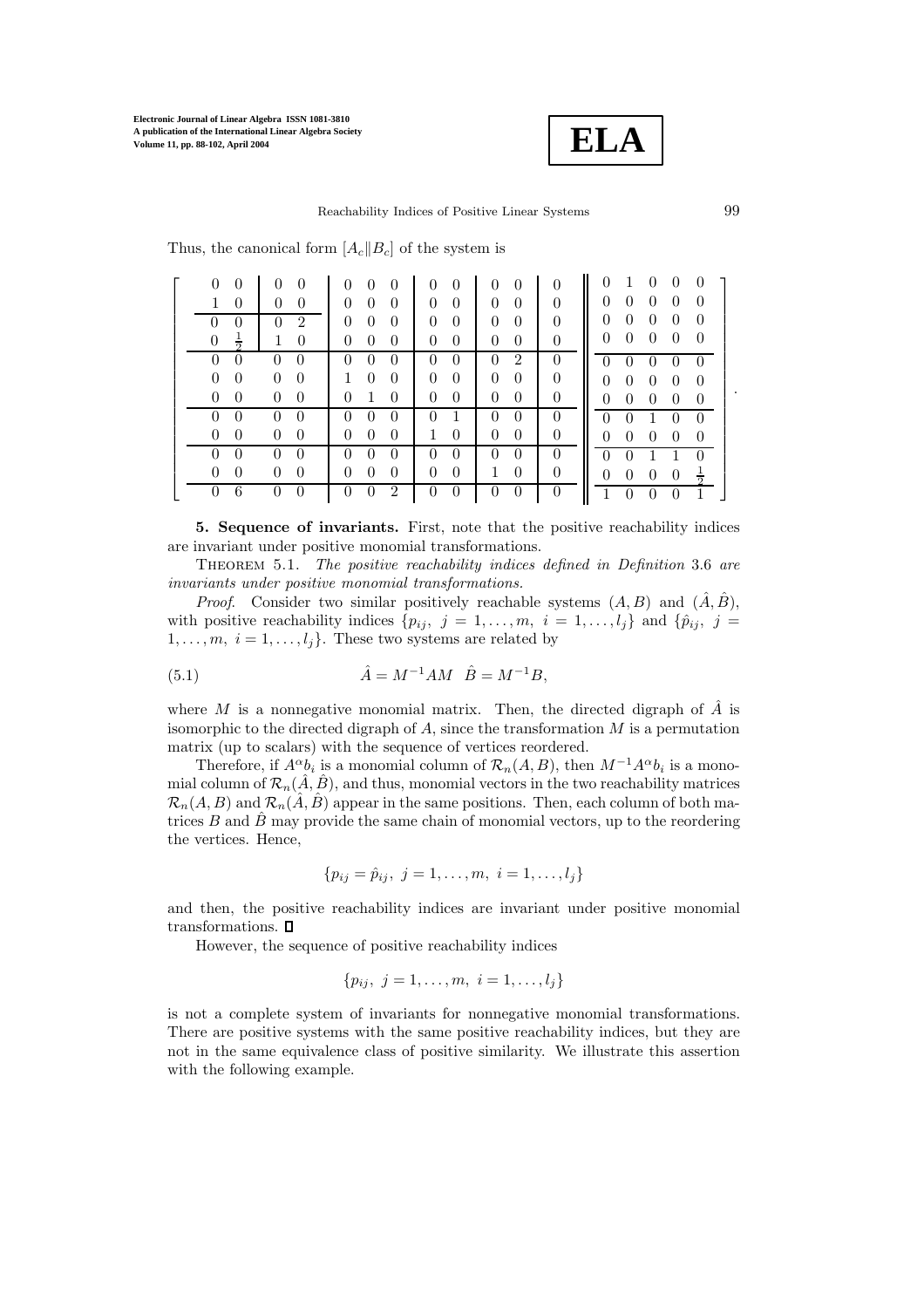

Reachability Indices of Positive Linear Systems 99

Thus, the canonical form  $[A_c||B_c]$  of the system is

| $\Omega$                         |                            | $\Omega$<br>$\theta$<br>$\theta$             | $\Omega$<br>$\theta$ | $\Omega$<br>$\theta$             | $\Omega$ | $\Omega$<br>1                                                        |
|----------------------------------|----------------------------|----------------------------------------------|----------------------|----------------------------------|----------|----------------------------------------------------------------------|
| $\Omega$                         | 0<br>$\overline{0}$        | $\theta$<br>$\theta$<br>$\theta$             | $\left($<br>$\theta$ | $\Omega$<br>$\theta$             | $\Omega$ | $\theta$<br>$\theta$<br>$\Omega$<br>$\theta$<br>$\theta$             |
| $\theta$                         | $\overline{2}$<br>$\Omega$ | $\overline{0}$<br>$\overline{0}$<br>$\theta$ | $\left($<br>$\theta$ | $\theta$<br>$\overline{0}$       | $\Omega$ | $\theta$<br>$\theta$<br>$\theta$<br>$\theta$<br>$\theta$             |
| $\overline{0}$<br>$\frac{1}{2}$  | $\theta$<br>1              | $\overline{0}$<br>$\overline{0}$<br>$\theta$ | $\theta$<br>$\theta$ | $\overline{0}$<br>$\overline{0}$ | $\theta$ | $\overline{0}$<br>$\theta$<br>$\overline{0}$<br>$\theta$<br>$\theta$ |
| $\overline{0}$<br>$\overline{0}$ | 0<br>0                     | $\Omega$<br>$\Omega$                         | $\Omega$<br>$\Omega$ | $\Omega$<br>2                    | $\Omega$ | 0                                                                    |
| $\theta$<br>$\theta$             | $\overline{0}$<br>$\Omega$ | $\overline{0}$<br>$\mathbf{1}$<br>$\theta$   | $\theta$<br>$\theta$ | $\theta$<br>$\theta$             | $\Omega$ | $\theta$<br>$\Omega$<br>$\overline{0}$<br>$\theta$<br>$\overline{0}$ |
| $\Omega$<br>$\overline{0}$       | $\theta$<br>$\theta$       | $\Omega$<br>1<br>$\theta$                    | $\theta$<br>$\theta$ | $\theta$<br>$\theta$             | 0        | $\Omega$<br>$\Omega$<br>$\theta$<br>$\theta$<br>$\overline{0}$       |
|                                  |                            |                                              |                      |                                  | $\theta$ | $\Omega$<br>$\theta$<br>$\theta$<br>$\theta$                         |
| 0                                | $\Omega$<br>$\Omega$       | $\Omega$<br>$\Omega$<br>$\left($             | 0                    | $\Omega$<br>$\theta$             | $\theta$ | $\theta$<br>$\Omega$<br>$\theta$<br>$\theta$<br>$\overline{0}$       |
|                                  | $\theta$                   | $\theta$                                     | O                    | $\theta$<br>$\theta$             | $\Omega$ | $\Omega$                                                             |
| 0                                | 0<br>$\Omega$              | $\Omega$<br>$\theta$<br>$\Omega$             | $\overline{0}$<br>0  | $\theta$                         | $\theta$ | $\overline{0}$<br>$\theta$<br>$\theta$<br>$\theta$<br>$rac{1}{2}$    |
|                                  |                            | $\overline{2}$                               | O                    |                                  | 0        |                                                                      |

**5. Sequence of invariants.** First, note that the positive reachability indices are invariant under positive monomial transformations.

Theorem 5.1. *The positive reachability indices defined in Definition* 3.6 *are invariants under positive monomial transformations.*

*Proof.* Consider two similar positively reachable systems  $(A, B)$  and  $(\hat{A}, \hat{B})$ , with positive reachability indices  $\{p_{ij}, j = 1, \ldots, m, i = 1, \ldots, l_i\}$  and  $\{\hat{p}_{ij}, j = 1, \ldots, j\}$  $1, \ldots, m, i = 1, \ldots, l_i$ . These two systems are related by

(5.1) 
$$
\hat{A} = M^{-1}AM \quad \hat{B} = M^{-1}B,
$$

where M is a nonnegative monomial matrix. Then, the directed digraph of  $\tilde{A}$  is isomorphic to the directed digraph of  $A$ , since the transformation  $M$  is a permutation matrix (up to scalars) with the sequence of vertices reordered.

Therefore, if  $A^{\alpha}b_i$  is a monomial column of  $\mathcal{R}_n(A, B)$ , then  $M^{-1}A^{\alpha}b_i$  is a monomial column of  $\mathcal{R}_n(\hat{A}, \hat{B})$ , and thus, monomial vectors in the two reachability matrices  $\mathcal{R}_n(A, B)$  and  $\mathcal{R}_n(\hat{A}, \hat{B})$  appear in the same positions. Then, each column of both matrices B and  $\hat{B}$  may provide the same chain of monomial vectors, up to the reordering the vertices. Hence,

$$
\{p_{ij} = \hat{p}_{ij}, \ j = 1, \ldots, m, \ i = 1, \ldots, l_j\}
$$

and then, the positive reachability indices are invariant under positive monomial transformations.  $\square$ 

However, the sequence of positive reachability indices

$$
\{p_{ij},\ j=1,\ldots,m,\ i=1,\ldots,l_j\}
$$

is not a complete system of invariants for nonnegative monomial transformations. There are positive systems with the same positive reachability indices, but they are not in the same equivalence class of positive similarity. We illustrate this assertion with the following example.

.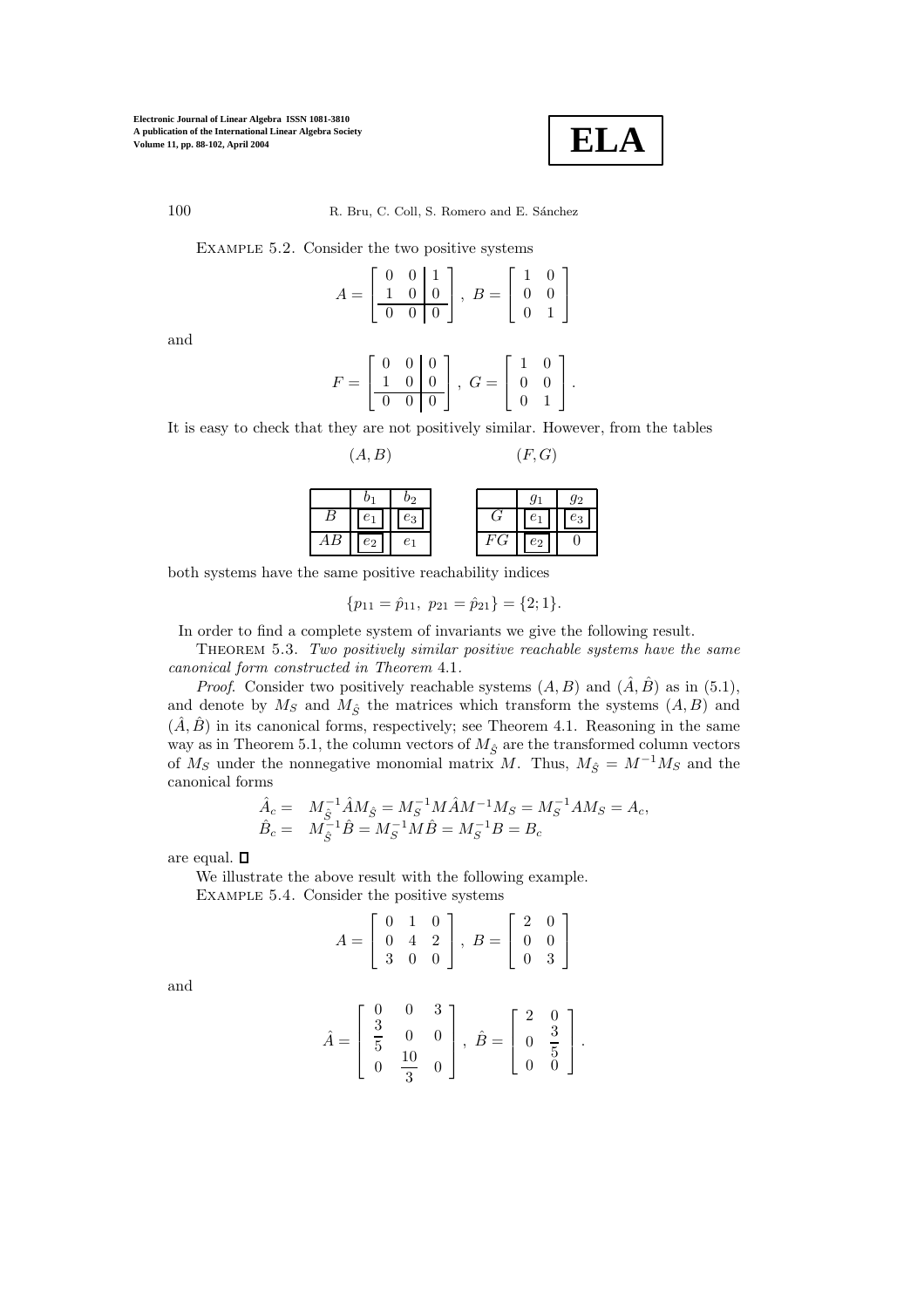

100 R. Bru, C. Coll, S. Romero and E. Sánchez

Example 5.2. Consider the two positive systems

$$
A = \left[ \begin{array}{rrr} 0 & 0 & 1 \\ 1 & 0 & 0 \\ \hline 0 & 0 & 0 \end{array} \right], \ B = \left[ \begin{array}{rrr} 1 & 0 \\ 0 & 0 \\ 0 & 1 \end{array} \right]
$$

and

$$
F = \begin{bmatrix} 0 & 0 & 0 \\ 1 & 0 & 0 \\ \hline 0 & 0 & 0 \end{bmatrix}, \ G = \begin{bmatrix} 1 & 0 \\ 0 & 0 \\ 0 & 1 \end{bmatrix}.
$$

It is easy to check that they are not positively similar. However, from the tables

$$
(A, B) \qquad (F, G)
$$

| $b_1$ | $b_2$         | $g_1$         | $g_2$ |
|-------|---------------|---------------|-------|
| $B$   | $\boxed{e_1}$ | $\boxed{e_3}$ |       |
| $AB$  | $\boxed{e_2}$ | $e_1$         |       |

\n $FG$ 

\n

| $e_2$ | $0$ |
|-------|-----|
|-------|-----|

both systems have the same positive reachability indices

$$
\{p_{11} = \hat{p}_{11}, p_{21} = \hat{p}_{21}\} = \{2; 1\}.
$$

In order to find a complete system of invariants we give the following result.

Theorem 5.3. *Two positively similar positive reachable systems have the same canonical form constructed in Theorem* 4.1*.*

*Proof.* Consider two positively reachable systems  $(A, B)$  and  $(\hat{A}, \hat{B})$  as in (5.1), and denote by  $M_S$  and  $M_{\hat{S}}$  the matrices which transform the systems  $(A, B)$  and  $(\hat{A}, \hat{B})$  in its canonical forms, respectively; see Theorem 4.1. Reasoning in the same way as in Theorem 5.1, the column vectors of  $M_{\hat{S}}$  are the transformed column vectors of  $M_S$  under the nonnegative monomial matrix M. Thus,  $M_{\hat{S}} = M^{-1}M_S$  and the canonical forms

$$
\hat{A}_c = M_{\hat{S}}^{-1} \hat{A} M_{\hat{S}} = M_{S}^{-1} M \hat{A} M^{-1} M_{S} = M_{S}^{-1} A M_{S} = A_c, \n\hat{B}_c = M_{\hat{S}}^{-1} \hat{B} = M_{S}^{-1} M \hat{B} = M_{S}^{-1} B = B_c
$$

are equal.  $\square$ 

We illustrate the above result with the following example. Example 5.4. Consider the positive systems

$$
A = \left[ \begin{array}{rrr} 0 & 1 & 0 \\ 0 & 4 & 2 \\ 3 & 0 & 0 \end{array} \right], \ B = \left[ \begin{array}{rrr} 2 & 0 \\ 0 & 0 \\ 0 & 3 \end{array} \right]
$$

and

$$
\hat{A} = \begin{bmatrix} 0 & 0 & 3 \\ \frac{3}{5} & 0 & 0 \\ 0 & \frac{10}{3} & 0 \end{bmatrix}, \ \hat{B} = \begin{bmatrix} 2 & 0 \\ 0 & \frac{3}{5} \\ 0 & 0 \end{bmatrix}.
$$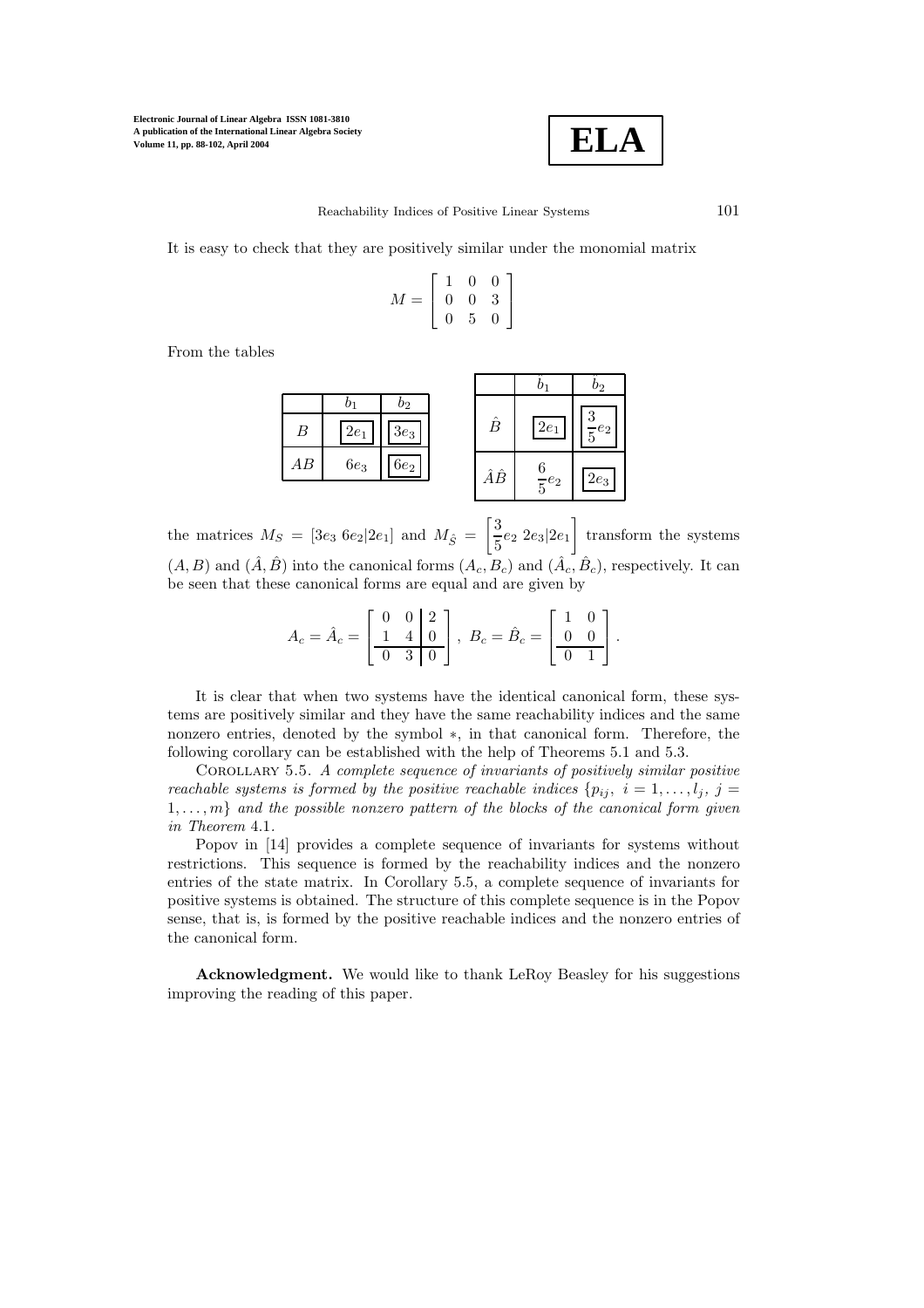

It is easy to check that they are positively similar under the monomial matrix

$$
M = \left[ \begin{array}{ccc} 1 & 0 & 0 \\ 0 & 0 & 3 \\ 0 & 5 & 0 \end{array} \right]
$$

1  $\overline{1}$ 

From the tables

|                 |        |                  |    |                | $\scriptstyle{v_2}$ |
|-----------------|--------|------------------|----|----------------|---------------------|
|                 |        | $\mathfrak{v}_2$ |    |                | ി                   |
| B               | $2e_1$ | $3e_3$           | Ê  | $2e_1$         | €<br>$-e_2\,$       |
| $\overline{AB}$ | $6e_3$ | $6e_2$           | ÂÊ | $rac{6}{5}e_2$ | $2e_3$              |
|                 |        |                  |    |                |                     |

the matrices  $M_S = [3e_3 \ 6e_2 \ 2e_1]$  and  $M_{\hat{S}} = \begin{bmatrix} 3 \ \frac{5}{5} \end{bmatrix}$  $\frac{3}{5}e_2$  2 $e_3$ |2 $e_1$  transform the systems  $(A, B)$  and  $(\hat{A}, \hat{B})$  into the canonical forms  $(A_c, B_c)$  and  $(\hat{A}_c, \hat{B}_c)$ , respectively. It can be seen that these canonical forms are equal and are given by

$$
A_c = \hat{A}_c = \begin{bmatrix} 0 & 0 & 2 \\ 1 & 4 & 0 \\ \hline 0 & 3 & 0 \end{bmatrix}, \ B_c = \hat{B}_c = \begin{bmatrix} 1 & 0 \\ 0 & 0 \\ \hline 0 & 1 \end{bmatrix}.
$$

It is clear that when two systems have the identical canonical form, these systems are positively similar and they have the same reachability indices and the same nonzero entries, denoted by the symbol ∗, in that canonical form. Therefore, the following corollary can be established with the help of Theorems 5.1 and 5.3.

Corollary 5.5. *A complete sequence of invariants of positively similar positive reachable systems is formed by the positive reachable indices*  $\{p_{ij}, i = 1, \ldots, l_j, j = j\}$ 1,...,m} *and the possible nonzero pattern of the blocks of the canonical form given in Theorem* 4.1*.*

Popov in [14] provides a complete sequence of invariants for systems without restrictions. This sequence is formed by the reachability indices and the nonzero entries of the state matrix. In Corollary 5.5, a complete sequence of invariants for positive systems is obtained. The structure of this complete sequence is in the Popov sense, that is, is formed by the positive reachable indices and the nonzero entries of the canonical form.

**Acknowledgment.** We would like to thank LeRoy Beasley for his suggestions improving the reading of this paper.